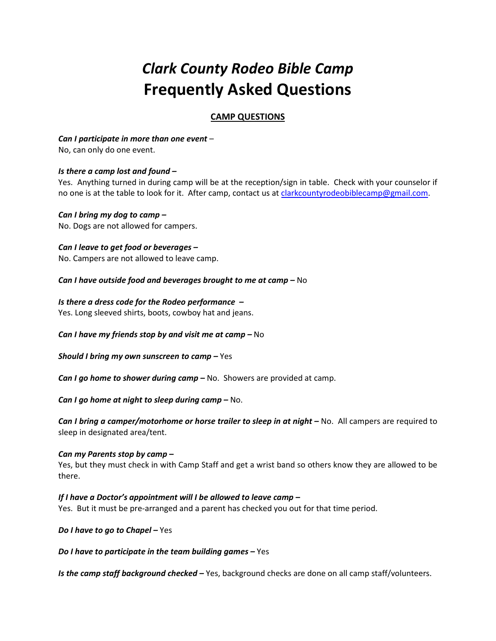# Clark County Rodeo Bible Camp Frequently Asked Questions

## CAMP QUESTIONS

#### Can I participate in more than one event –

No, can only do one event.

#### Is there a camp lost and found –

Yes. Anything turned in during camp will be at the reception/sign in table. Check with your counselor if no one is at the table to look for it. After camp, contact us at clarkcountyrodeobiblecamp@gmail.com.

#### Can I bring my dog to camp –

No. Dogs are not allowed for campers.

# Can I leave to get food or beverages –

No. Campers are not allowed to leave camp.

#### Can I have outside food and beverages brought to me at camp – No

#### Is there a dress code for the Rodeo performance –

Yes. Long sleeved shirts, boots, cowboy hat and jeans.

#### Can I have my friends stop by and visit me at camp  $-\text{No}$

**Should I bring my own sunscreen to camp**  $-\text{Yes}$ 

**Can I go home to shower during camp**  $-\text{No}$ . Showers are provided at camp.

Can I go home at night to sleep during camp  $-$  No.

Can I bring a camper/motorhome or horse trailer to sleep in at night – No. All campers are required to sleep in designated area/tent.

#### Can my Parents stop by camp –

Yes, but they must check in with Camp Staff and get a wrist band so others know they are allowed to be there.

#### If I have a Doctor's appointment will I be allowed to leave camp –

Yes. But it must be pre-arranged and a parent has checked you out for that time period.

Do I have to go to Chapel - Yes

Do I have to participate in the team building games – Yes

Is the camp staff background checked - Yes, background checks are done on all camp staff/volunteers.